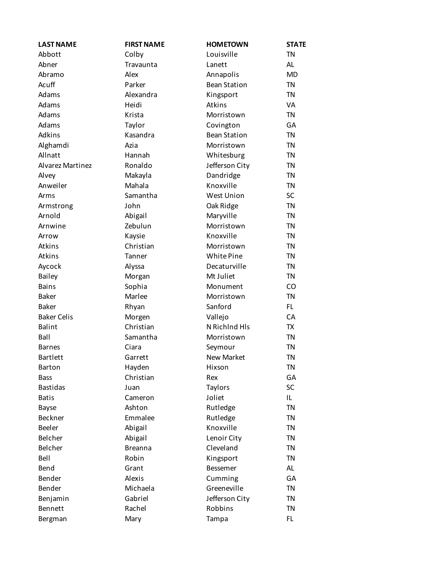| <b>LAST NAME</b>   | <b>FIRST NAME</b> | <b>HOMETOWN</b>     | <b>STATE</b> |
|--------------------|-------------------|---------------------|--------------|
| Abbott             | Colby             | Louisville          | <b>TN</b>    |
| Abner              | Travaunta         | Lanett              | <b>AL</b>    |
| Abramo             | Alex              | Annapolis           | MD           |
| Acuff              | Parker            | <b>Bean Station</b> | <b>TN</b>    |
| Adams              | Alexandra         | Kingsport           | <b>TN</b>    |
| Adams              | Heidi             | Atkins              | VA           |
| Adams              | Krista            | Morristown          | <b>TN</b>    |
| Adams              | Taylor            | Covington           | GA           |
| Adkins             | Kasandra          | <b>Bean Station</b> | <b>TN</b>    |
| Alghamdi           | Azia              | Morristown          | <b>TN</b>    |
| Allnatt            | Hannah            | Whitesburg          | <b>TN</b>    |
| Alvarez Martinez   | Ronaldo           | Jefferson City      | <b>TN</b>    |
| Alvey              | Makayla           | Dandridge           | <b>TN</b>    |
| Anweiler           | Mahala            | Knoxville           | <b>TN</b>    |
| Arms               | Samantha          | <b>West Union</b>   | SC           |
| Armstrong          | John              | Oak Ridge           | <b>TN</b>    |
| Arnold             | Abigail           | Maryville           | <b>TN</b>    |
| Arnwine            | Zebulun           | Morristown          | <b>TN</b>    |
| Arrow              | Kaysie            | Knoxville           | <b>TN</b>    |
| Atkins             | Christian         | Morristown          | <b>TN</b>    |
| Atkins             | Tanner            | White Pine          | <b>TN</b>    |
| Aycock             | Alyssa            | Decaturville        | <b>TN</b>    |
| <b>Bailey</b>      | Morgan            | Mt Juliet           | <b>TN</b>    |
| <b>Bains</b>       | Sophia            | Monument            | CO           |
| <b>Baker</b>       | Marlee            | Morristown          | <b>TN</b>    |
| <b>Baker</b>       | Rhyan             | Sanford             | FL.          |
| <b>Baker Celis</b> | Morgen            | Vallejo             | CA           |
| <b>Balint</b>      | Christian         | N Richlnd Hls       | <b>TX</b>    |
| Ball               | Samantha          | Morristown          | <b>TN</b>    |
| <b>Barnes</b>      | Ciara             | Seymour             | <b>TN</b>    |
| <b>Bartlett</b>    | Garrett           | <b>New Market</b>   | <b>TN</b>    |
| <b>Barton</b>      | Hayden            | Hixson              | TN           |
| <b>Bass</b>        | Christian         | Rex                 | GA           |
| <b>Bastidas</b>    | Juan              | Taylors             | SC           |
| <b>Batis</b>       | Cameron           | Joliet              | IL.          |
| Bayse              | Ashton            | Rutledge            | <b>TN</b>    |
| <b>Beckner</b>     | Emmalee           | Rutledge            | <b>TN</b>    |
| <b>Beeler</b>      | Abigail           | Knoxville           | <b>TN</b>    |
| Belcher            | Abigail           | Lenoir City         | <b>TN</b>    |
| Belcher            | <b>Breanna</b>    | Cleveland           | <b>TN</b>    |
| Bell               | Robin             | Kingsport           | <b>TN</b>    |
| Bend               | Grant             | <b>Bessemer</b>     | <b>AL</b>    |
| Bender             | Alexis            | Cumming             | GA           |
| Bender             | Michaela          | Greeneville         | <b>TN</b>    |
| Benjamin           | Gabriel           | Jefferson City      | <b>TN</b>    |
| Bennett            | Rachel            | Robbins             | <b>TN</b>    |
| Bergman            | Mary              | Tampa               | FL.          |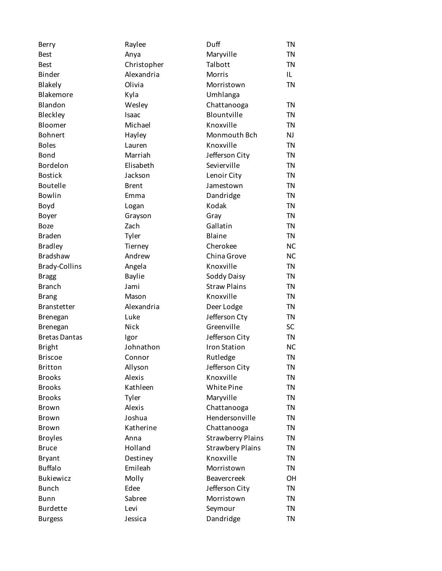| Berry                | Raylee        | Duff                     | <b>TN</b> |
|----------------------|---------------|--------------------------|-----------|
| <b>Best</b>          | Anya          | Maryville                | <b>TN</b> |
| <b>Best</b>          | Christopher   | Talbott                  | <b>TN</b> |
| Binder               | Alexandria    | Morris                   | IL.       |
| Blakely              | Olivia        | Morristown               | <b>TN</b> |
| Blakemore            | Kyla          | Umhlanga                 |           |
| Blandon              | Wesley        | Chattanooga              | <b>TN</b> |
| Bleckley             | Isaac         | Blountville              | <b>TN</b> |
| Bloomer              | Michael       | Knoxville                | <b>TN</b> |
| <b>Bohnert</b>       | Hayley        | Monmouth Bch             | <b>NJ</b> |
| <b>Boles</b>         | Lauren        | Knoxville                | <b>TN</b> |
| Bond                 | Marriah       | Jefferson City           | <b>TN</b> |
| Bordelon             | Elisabeth     | Sevierville              | <b>TN</b> |
| <b>Bostick</b>       | Jackson       | Lenoir City              | <b>TN</b> |
| <b>Boutelle</b>      | <b>Brent</b>  | Jamestown                | <b>TN</b> |
| <b>Bowlin</b>        | Emma          | Dandridge                | <b>TN</b> |
| Boyd                 | Logan         | Kodak                    | <b>TN</b> |
| Boyer                | Grayson       | Gray                     | <b>TN</b> |
| <b>Boze</b>          | Zach          | Gallatin                 | <b>TN</b> |
| <b>Braden</b>        | Tyler         | Blaine                   | <b>TN</b> |
| <b>Bradley</b>       | Tierney       | Cherokee                 | <b>NC</b> |
| <b>Bradshaw</b>      | Andrew        | China Grove              | <b>NC</b> |
| <b>Brady-Collins</b> | Angela        | Knoxville                | <b>TN</b> |
| <b>Bragg</b>         | <b>Baylie</b> | Soddy Daisy              | <b>TN</b> |
| <b>Branch</b>        | Jami          | <b>Straw Plains</b>      | <b>TN</b> |
| Brang                | Mason         | Knoxville                | <b>TN</b> |
| <b>Branstetter</b>   | Alexandria    | Deer Lodge               | <b>TN</b> |
| <b>Brenegan</b>      | Luke          | Jefferson Cty            | <b>TN</b> |
| Brenegan             | <b>Nick</b>   | Greenville               | SC        |
| <b>Bretas Dantas</b> | Igor          | Jefferson City           | <b>TN</b> |
| <b>Bright</b>        | Johnathon     | <b>Iron Station</b>      | <b>NC</b> |
| <b>Briscoe</b>       | Connor        | Rutledge                 | <b>TN</b> |
| <b>Britton</b>       | Allyson       | Jefferson City           | TN        |
| <b>Brooks</b>        | Alexis        | Knoxville                | <b>TN</b> |
| <b>Brooks</b>        | Kathleen      | White Pine               | <b>TN</b> |
| <b>Brooks</b>        | Tyler         | Maryville                | <b>TN</b> |
| <b>Brown</b>         | Alexis        | Chattanooga              | <b>TN</b> |
| <b>Brown</b>         | Joshua        | Hendersonville           | <b>TN</b> |
| Brown                | Katherine     | Chattanooga              | <b>TN</b> |
| <b>Broyles</b>       | Anna          | <b>Strawberry Plains</b> | <b>TN</b> |
| <b>Bruce</b>         | Holland       | <b>Strawbery Plains</b>  | <b>TN</b> |
| <b>Bryant</b>        | Destiney      | Knoxville                | <b>TN</b> |
| <b>Buffalo</b>       | Emileah       | Morristown               | <b>TN</b> |
| <b>Bukiewicz</b>     | Molly         | <b>Beavercreek</b>       | <b>OH</b> |
| <b>Bunch</b>         | Edee          | Jefferson City           | <b>TN</b> |
| Bunn                 | Sabree        | Morristown               | <b>TN</b> |
| <b>Burdette</b>      | Levi          | Seymour                  | <b>TN</b> |
| <b>Burgess</b>       | Jessica       | Dandridge                | <b>TN</b> |
|                      |               |                          |           |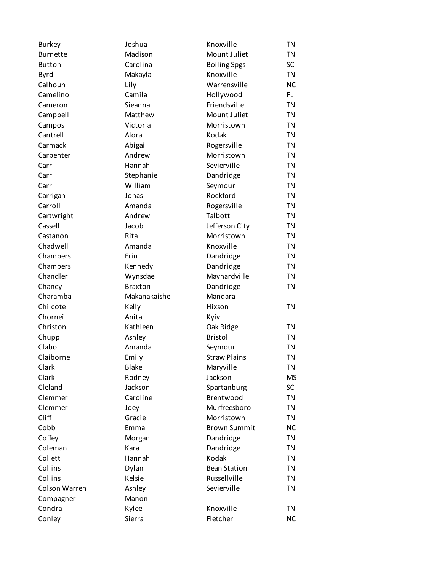| <b>Burkey</b>   | Joshua             | Knoxville           | <b>TN</b> |
|-----------------|--------------------|---------------------|-----------|
| <b>Burnette</b> | Madison            | Mount Juliet        | <b>TN</b> |
| <b>Button</b>   | Carolina           | <b>Boiling Spgs</b> | <b>SC</b> |
| Byrd            | Makayla            | Knoxville           | <b>TN</b> |
| Calhoun         | Lily               | Warrensville        | <b>NC</b> |
| Camelino        | Camila             | Hollywood           | FL.       |
| Cameron         | Sieanna            | Friendsville        | <b>TN</b> |
| Campbell        | Matthew            | Mount Juliet        | <b>TN</b> |
| Campos          | Victoria           | Morristown          | <b>TN</b> |
| Cantrell        | Alora              | Kodak               | <b>TN</b> |
| Carmack         | Abigail            | Rogersville         | <b>TN</b> |
| Carpenter       | Andrew             | Morristown          | <b>TN</b> |
| Carr            | Hannah             | Sevierville         | <b>TN</b> |
| Carr            | Stephanie          | Dandridge           | <b>TN</b> |
| Carr            | William            | Seymour             | <b>TN</b> |
| Carrigan        | Jonas              | Rockford            | <b>TN</b> |
| Carroll         | Amanda             | Rogersville         | <b>TN</b> |
| Cartwright      | Andrew             | Talbott             | <b>TN</b> |
| Cassell         | Jacob              | Jefferson City      | <b>TN</b> |
| Castanon        | Rita               | Morristown          | <b>TN</b> |
| Chadwell        | Amanda             | Knoxville           | <b>TN</b> |
| Chambers        | Erin               | Dandridge           | <b>TN</b> |
| Chambers        |                    | Dandridge           | <b>TN</b> |
| Chandler        | Kennedy<br>Wynsdae | Maynardville        | <b>TN</b> |
|                 | <b>Braxton</b>     |                     | <b>TN</b> |
| Chaney          |                    | Dandridge           |           |
| Charamba        | Makanakaishe       | Mandara             |           |
| Chilcote        | Kelly              | Hixson              | <b>TN</b> |
| Chornei         | Anita              | Kyiv                |           |
| Christon        | Kathleen           | Oak Ridge           | <b>TN</b> |
| Chupp           | Ashley             | <b>Bristol</b>      | <b>TN</b> |
| Clabo           | Amanda             | Seymour             | <b>TN</b> |
| Claiborne       | Emily              | <b>Straw Plains</b> | <b>TN</b> |
| Clark           | <b>Blake</b>       | Maryville           | <b>TN</b> |
| Clark           | Rodney             | Jackson             | MS        |
| Cleland         | Jackson            | Spartanburg         | <b>SC</b> |
| Clemmer         | Caroline           | Brentwood           | <b>TN</b> |
| Clemmer         | Joey               | Murfreesboro        | <b>TN</b> |
| Cliff           | Gracie             | Morristown          | <b>TN</b> |
| Cobb            | Emma               | <b>Brown Summit</b> | <b>NC</b> |
| Coffey          | Morgan             | Dandridge           | <b>TN</b> |
| Coleman         | Kara               | Dandridge           | <b>TN</b> |
| Collett         | Hannah             | Kodak               | <b>TN</b> |
| Collins         | Dylan              | <b>Bean Station</b> | <b>TN</b> |
| Collins         | Kelsie             | Russellville        | <b>TN</b> |
| Colson Warren   | Ashley             | Sevierville         | <b>TN</b> |
| Compagner       |                    |                     |           |
|                 | Manon              |                     |           |
| Condra          | Kylee              | Knoxville           | TN        |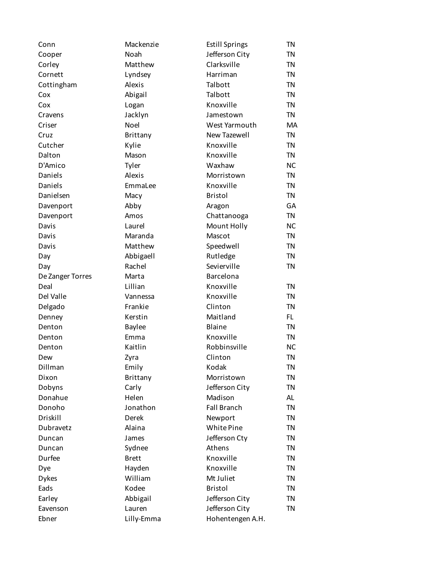| Conn             | Mackenzie     | <b>Estill Springs</b> | TN        |
|------------------|---------------|-----------------------|-----------|
| Cooper           | Noah          | Jefferson City        | <b>TN</b> |
| Corley           | Matthew       | Clarksville           | <b>TN</b> |
| Cornett          | Lyndsey       | Harriman              | <b>TN</b> |
| Cottingham       | Alexis        | Talbott               | <b>TN</b> |
| Cox              | Abigail       | Talbott               | <b>TN</b> |
| Cox              | Logan         | Knoxville             | <b>TN</b> |
| Cravens          | Jacklyn       | Jamestown             | <b>TN</b> |
| Criser           | Noel          | West Yarmouth         | MA        |
| Cruz             | Brittany      | New Tazewell          | <b>TN</b> |
| Cutcher          | Kylie         | Knoxville             | <b>TN</b> |
| Dalton           | Mason         | Knoxville             | <b>TN</b> |
| D'Amico          | Tyler         | Waxhaw                | <b>NC</b> |
| Daniels          | Alexis        | Morristown            | <b>TN</b> |
| Daniels          | EmmaLee       | Knoxville             | <b>TN</b> |
| Danielsen        | Macy          | <b>Bristol</b>        | <b>TN</b> |
| Davenport        | Abby          | Aragon                | GA        |
| Davenport        | Amos          | Chattanooga           | <b>TN</b> |
| Davis            | Laurel        | Mount Holly           | <b>NC</b> |
| Davis            | Maranda       | Mascot                | <b>TN</b> |
| Davis            | Matthew       | Speedwell             | <b>TN</b> |
| Day              | Abbigaell     | Rutledge              | <b>TN</b> |
| Day              | Rachel        | Sevierville           | <b>TN</b> |
| De Zanger Torres | Marta         | Barcelona             |           |
| Deal             | Lillian       | Knoxville             | <b>TN</b> |
| Del Valle        | Vannessa      | Knoxville             | <b>TN</b> |
| Delgado          | Frankie       | Clinton               | <b>TN</b> |
| Denney           | Kerstin       | Maitland              | FL.       |
| Denton           | <b>Baylee</b> | Blaine                | <b>TN</b> |
| Denton           | Emma          | Knoxville             | <b>TN</b> |
| Denton           | Kaitlin       | Robbinsville          | <b>NC</b> |
| Dew              | Zyra          | Clinton               | <b>TN</b> |
| Dillman          | Emily         | Kodak                 | ΤN        |
| Dixon            | Brittany      | Morristown            | <b>TN</b> |
| Dobyns           | Carly         | Jefferson City        | <b>TN</b> |
| Donahue          | Helen         | Madison               | AL        |
| Donoho           | Jonathon      | <b>Fall Branch</b>    | <b>TN</b> |
| Driskill         | Derek         | Newport               | <b>TN</b> |
| Dubravetz        | Alaina        | White Pine            | <b>TN</b> |
| Duncan           | James         | Jefferson Cty         | <b>TN</b> |
| Duncan           | Sydnee        | Athens                | <b>TN</b> |
| Durfee           | <b>Brett</b>  | Knoxville             | <b>TN</b> |
| Dye              | Hayden        | Knoxville             | <b>TN</b> |
| <b>Dykes</b>     | William       | Mt Juliet             | <b>TN</b> |
| Eads             | Kodee         | <b>Bristol</b>        | <b>TN</b> |
| Earley           | Abbigail      | Jefferson City        | <b>TN</b> |
| Eavenson         | Lauren        | Jefferson City        | <b>TN</b> |
| Ebner            | Lilly-Emma    | Hohentengen A.H.      |           |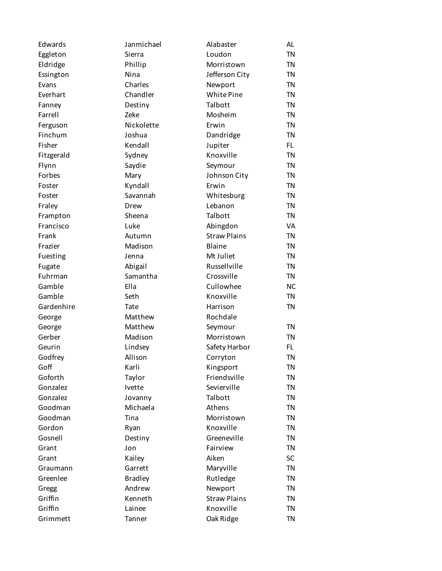| Edwards    | Janmichael     | Alabaster           | <b>AL</b> |
|------------|----------------|---------------------|-----------|
| Eggleton   | Sierra         | Loudon              | <b>TN</b> |
| Eldridge   | Phillip        | Morristown          | <b>TN</b> |
| Essington  | Nina           | Jefferson City      | <b>TN</b> |
| Evans      | Charles        | Newport             | <b>TN</b> |
| Everhart   | Chandler       | White Pine          | <b>TN</b> |
| Fanney     | Destiny        | Talbott             | <b>TN</b> |
| Farrell    | Zeke           | Mosheim             | <b>TN</b> |
| Ferguson   | Nickolette     | Erwin               | <b>TN</b> |
| Finchum    | Joshua         | Dandridge           | <b>TN</b> |
| Fisher     | Kendall        | Jupiter             | FL.       |
| Fitzgerald | Sydney         | Knoxville           | <b>TN</b> |
| Flynn      | Saydie         | Seymour             | <b>TN</b> |
| Forbes     | Mary           | Johnson City        | <b>TN</b> |
| Foster     | Kyndall        | Erwin               | <b>TN</b> |
| Foster     | Savannah       | Whitesburg          | <b>TN</b> |
| Fraley     | Drew           | Lebanon             | <b>TN</b> |
| Frampton   | Sheena         | Talbott             | <b>TN</b> |
| Francisco  | Luke           | Abingdon            | VA        |
| Frank      | Autumn         | <b>Straw Plains</b> | <b>TN</b> |
| Frazier    | Madison        | Blaine              | <b>TN</b> |
| Fuesting   | Jenna          | Mt Juliet           | <b>TN</b> |
| Fugate     | Abigail        | Russellville        | <b>TN</b> |
| Fuhrman    | Samantha       | Crossville          | <b>TN</b> |
| Gamble     | Ella           | Cullowhee           | <b>NC</b> |
| Gamble     | Seth           | Knoxville           | <b>TN</b> |
| Gardenhire | Tate           | Harrison            | <b>TN</b> |
| George     | Matthew        | Rochdale            |           |
| George     | Matthew        | Seymour             | <b>TN</b> |
| Gerber     | Madison        | Morristown          | <b>TN</b> |
| Geurin     | Lindsey        | Safety Harbor       | FL.       |
| Godfrey    | Allison        | Corryton            | <b>TN</b> |
| Goff       | Karli          | Kingsport           | ΤN        |
| Goforth    | Taylor         | Friendsville        | <b>TN</b> |
| Gonzalez   | Ivette         | Sevierville         | <b>TN</b> |
| Gonzalez   | Jovanny        | Talbott             | <b>TN</b> |
| Goodman    | Michaela       | Athens              | <b>TN</b> |
| Goodman    | Tina           | Morristown          | <b>TN</b> |
| Gordon     | Ryan           | Knoxville           | <b>TN</b> |
| Gosnell    | Destiny        | Greeneville         | <b>TN</b> |
| Grant      | Jon            | Fairview            | <b>TN</b> |
| Grant      | Kailey         | Aiken               | <b>SC</b> |
| Graumann   | Garrett        | Maryville           | <b>TN</b> |
| Greenlee   | <b>Bradley</b> | Rutledge            | <b>TN</b> |
| Gregg      | Andrew         | Newport             | <b>TN</b> |
| Griffin    | Kenneth        | <b>Straw Plains</b> | <b>TN</b> |
| Griffin    | Lainee         | Knoxville           | <b>TN</b> |
| Grimmett   | Tanner         | Oak Ridge           | <b>TN</b> |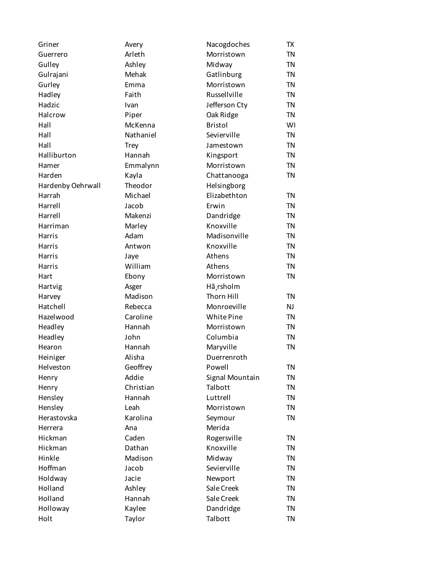| Griner            | Avery       | Nacogdoches     | TX        |
|-------------------|-------------|-----------------|-----------|
| Guerrero          | Arleth      | Morristown      | TN        |
| Gulley            | Ashley      | Midway          | <b>TN</b> |
| Gulrajani         | Mehak       | Gatlinburg      | <b>TN</b> |
| Gurley            | Emma        | Morristown      | <b>TN</b> |
| Hadley            | Faith       | Russellville    | <b>TN</b> |
| Hadzic            | Ivan        | Jefferson Cty   | <b>TN</b> |
| Halcrow           | Piper       | Oak Ridge       | <b>TN</b> |
| Hall              | McKenna     | <b>Bristol</b>  | WI        |
| Hall              | Nathaniel   | Sevierville     | <b>TN</b> |
| Hall              | <b>Trey</b> | Jamestown       | <b>TN</b> |
| Halliburton       | Hannah      | Kingsport       | <b>TN</b> |
| Hamer             | Emmalynn    | Morristown      | <b>TN</b> |
| Harden            | Kayla       | Chattanooga     | <b>TN</b> |
| Hardenby Oehrwall | Theodor     | Helsingborg     |           |
| Harrah            | Michael     | Elizabethton    | <b>TN</b> |
| Harrell           | Jacob       | Erwin           | <b>TN</b> |
| Harrell           | Makenzi     | Dandridge       | <b>TN</b> |
| Harriman          | Marley      | Knoxville       | <b>TN</b> |
| Harris            | Adam        | Madisonville    | <b>TN</b> |
| Harris            | Antwon      | Knoxville       | <b>TN</b> |
| Harris            | Jaye        | Athens          | <b>TN</b> |
| Harris            | William     | Athens          | <b>TN</b> |
| Hart              | Ebony       | Morristown      | <b>TN</b> |
| Hartvig           | Asger       | Hã rsholm       |           |
| Harvey            | Madison     | Thorn Hill      | <b>TN</b> |
| Hatchell          | Rebecca     | Monroeville     | NJ        |
| Hazelwood         | Caroline    | White Pine      | <b>TN</b> |
| Headley           | Hannah      | Morristown      | <b>TN</b> |
| Headley           | John        | Columbia        | <b>TN</b> |
| Hearon            | Hannah      | Maryville       | <b>TN</b> |
| Heiniger          | Alisha      | Duerrenroth     |           |
| Helveston         | Geoffrey    | Powell          | TN        |
| Henry             | Addie       | Signal Mountain | TN        |
| Henry             | Christian   | Talbott         | TN        |
| Hensley           | Hannah      | Luttrell        | <b>TN</b> |
| Hensley           | Leah        | Morristown      | <b>TN</b> |
| Herastovska       | Karolina    | Seymour         | <b>TN</b> |
| Herrera           | Ana         | Merida          |           |
| Hickman           | Caden       | Rogersville     | <b>TN</b> |
| Hickman           | Dathan      | Knoxville       | <b>TN</b> |
| Hinkle            | Madison     | Midway          | <b>TN</b> |
| Hoffman           | Jacob       | Sevierville     | <b>TN</b> |
| Holdway           | Jacie       | Newport         | <b>TN</b> |
| Holland           | Ashley      | Sale Creek      | <b>TN</b> |
| Holland           | Hannah      | Sale Creek      | <b>TN</b> |
| Holloway          | Kaylee      | Dandridge       | <b>TN</b> |
| Holt              | Taylor      | Talbott         | <b>TN</b> |
|                   |             |                 |           |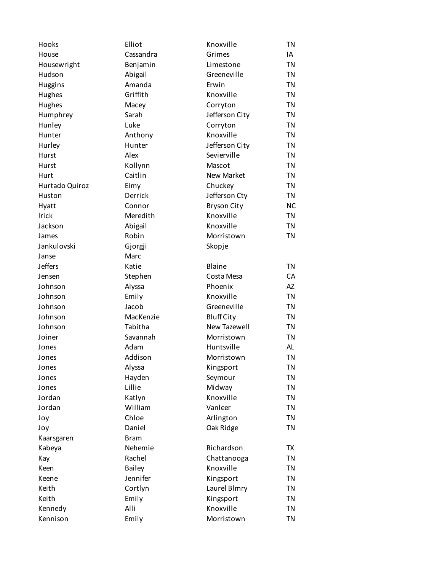| Hooks          | Elliot        | Knoxville           | <b>TN</b> |
|----------------|---------------|---------------------|-----------|
| House          | Cassandra     | Grimes              | IA        |
| Housewright    | Benjamin      | Limestone           | <b>TN</b> |
| Hudson         | Abigail       | Greeneville         | <b>TN</b> |
| <b>Huggins</b> | Amanda        | Erwin               | <b>TN</b> |
| Hughes         | Griffith      | Knoxville           | <b>TN</b> |
| Hughes         | Macey         | Corryton            | <b>TN</b> |
| Humphrey       | Sarah         | Jefferson City      | <b>TN</b> |
| Hunley         | Luke          | Corryton            | <b>TN</b> |
| Hunter         | Anthony       | Knoxville           | <b>TN</b> |
| Hurley         | Hunter        | Jefferson City      | <b>TN</b> |
| Hurst          | Alex          | Sevierville         | <b>TN</b> |
| Hurst          | Kollynn       | Mascot              | <b>TN</b> |
| Hurt           | Caitlin       | <b>New Market</b>   | <b>TN</b> |
| Hurtado Quiroz | Eimy          | Chuckey             | <b>TN</b> |
| Huston         | Derrick       | Jefferson Cty       | <b>TN</b> |
| Hyatt          | Connor        | <b>Bryson City</b>  | <b>NC</b> |
| Irick          | Meredith      | Knoxville           | <b>TN</b> |
| Jackson        | Abigail       | Knoxville           | <b>TN</b> |
| James          | Robin         | Morristown          | <b>TN</b> |
| Jankulovski    | Gjorgji       | Skopje              |           |
| Janse          | Marc          |                     |           |
| <b>Jeffers</b> | Katie         | Blaine              | <b>TN</b> |
| Jensen         | Stephen       | Costa Mesa          | СA        |
| Johnson        | Alyssa        | Phoenix             | AZ        |
| Johnson        | Emily         | Knoxville           | <b>TN</b> |
| Johnson        | Jacob         | Greeneville         | <b>TN</b> |
| Johnson        | MacKenzie     | <b>Bluff City</b>   | <b>TN</b> |
| Johnson        | Tabitha       | <b>New Tazewell</b> | <b>TN</b> |
| Joiner         | Savannah      | Morristown          | <b>TN</b> |
| Jones          | Adam          | Huntsville          | AL        |
| Jones          | Addison       | Morristown          | <b>TN</b> |
| Jones          | Alyssa        | Kingsport           | <b>TN</b> |
| Jones          | Hayden        | Seymour             | <b>TN</b> |
| Jones          | Lillie        | Midway              | <b>TN</b> |
| Jordan         | Katlyn        | Knoxville           | <b>TN</b> |
| Jordan         | William       | Vanleer             | <b>TN</b> |
| Joy            | Chloe         | Arlington           | <b>TN</b> |
| Joy            | Daniel        | Oak Ridge           | <b>TN</b> |
| Kaarsgaren     | <b>Bram</b>   |                     |           |
| Kabeya         | Nehemie       | Richardson          | TX        |
| Kay            | Rachel        | Chattanooga         | <b>TN</b> |
| Keen           | <b>Bailey</b> | Knoxville           | <b>TN</b> |
| Keene          | Jennifer      | Kingsport           | <b>TN</b> |
| Keith          | Cortlyn       | Laurel Blmry        | <b>TN</b> |
| Keith          | Emily         | Kingsport           | <b>TN</b> |
| Kennedy        | Alli          | Knoxville           | <b>TN</b> |
| Kennison       | Emily         | Morristown          | <b>TN</b> |
|                |               |                     |           |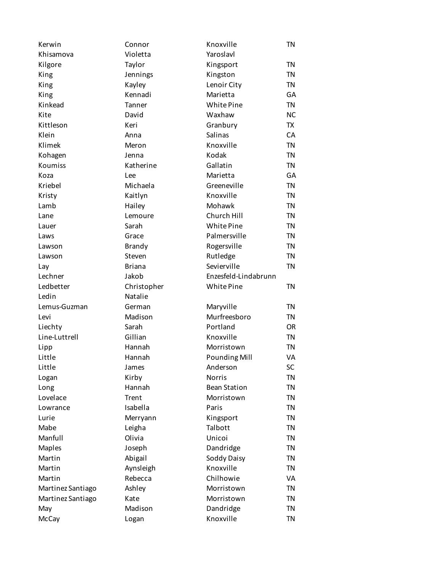| Kerwin                   | Connor           | Knoxville                 | <b>TN</b>              |
|--------------------------|------------------|---------------------------|------------------------|
| Khisamova                | Violetta         | Yaroslavl                 |                        |
| Kilgore                  | Taylor           | Kingsport                 | <b>TN</b>              |
| King                     | Jennings         | Kingston                  | <b>TN</b>              |
| King                     | Kayley           | Lenoir City               | <b>TN</b>              |
| King                     | Kennadi          | Marietta                  | GA                     |
| Kinkead                  | Tanner           | White Pine                | <b>TN</b>              |
| Kite                     | David            | Waxhaw                    | <b>NC</b>              |
| Kittleson                | Keri             | Granbury                  | TX                     |
| Klein                    | Anna             | Salinas                   | CA                     |
| Klimek                   | Meron            | Knoxville                 | <b>TN</b>              |
| Kohagen                  | Jenna            | Kodak                     | <b>TN</b>              |
| Koumiss                  | Katherine        | Gallatin                  | <b>TN</b>              |
| Koza                     | Lee              | Marietta                  | GA                     |
| Kriebel                  | Michaela         | Greeneville               | <b>TN</b>              |
| Kristy                   | Kaitlyn          | Knoxville                 | <b>TN</b>              |
| Lamb                     | Hailey           | Mohawk                    | <b>TN</b>              |
| Lane                     | Lemoure          | Church Hill               | <b>TN</b>              |
| Lauer                    | Sarah            | White Pine                | <b>TN</b>              |
| Laws                     | Grace            | Palmersville              | <b>TN</b>              |
| Lawson                   | <b>Brandy</b>    | Rogersville               | <b>TN</b>              |
| Lawson                   | Steven           | Rutledge                  | <b>TN</b>              |
| Lay                      | <b>Briana</b>    | Sevierville               | <b>TN</b>              |
| Lechner                  | Jakob            | Enzesfeld-Lindabrunn      |                        |
| Ledbetter                | Christopher      | White Pine                | <b>TN</b>              |
| Ledin                    | Natalie          |                           |                        |
|                          |                  |                           |                        |
|                          | German           |                           |                        |
| Lemus-Guzman             | Madison          | Maryville<br>Murfreesboro | <b>TN</b>              |
| Levi                     | Sarah            | Portland                  | <b>TN</b><br><b>OR</b> |
| Liechty<br>Line-Luttrell | Gillian          | Knoxville                 | <b>TN</b>              |
|                          | Hannah           | Morristown                | <b>TN</b>              |
| Lipp<br>Little           | Hannah           |                           | VA                     |
|                          |                  | <b>Pounding Mill</b>      |                        |
| Little                   | James            | Anderson<br><b>Norris</b> | SC                     |
| Logan                    | Kirby            |                           | <b>TN</b>              |
| Long                     | Hannah           | <b>Bean Station</b>       | <b>TN</b>              |
| Lovelace                 | Trent            | Morristown                | <b>TN</b>              |
| Lowrance                 | Isabella         | Paris                     | <b>TN</b>              |
| Lurie                    | Merryann         | Kingsport                 | <b>TN</b>              |
| Mabe                     | Leigha           | Talbott                   | <b>TN</b>              |
| Manfull                  | Olivia           | Unicoi                    | <b>TN</b>              |
| Maples                   | Joseph           | Dandridge                 | <b>TN</b>              |
| Martin                   | Abigail          | Soddy Daisy               | <b>TN</b>              |
| Martin                   | Aynsleigh        | Knoxville                 | <b>TN</b>              |
| Martin                   | Rebecca          | Chilhowie                 | VA                     |
| Martinez Santiago        | Ashley           | Morristown                | <b>TN</b>              |
| Martinez Santiago        | Kate             | Morristown                | <b>TN</b>              |
| May<br>McCay             | Madison<br>Logan | Dandridge<br>Knoxville    | <b>TN</b><br><b>TN</b> |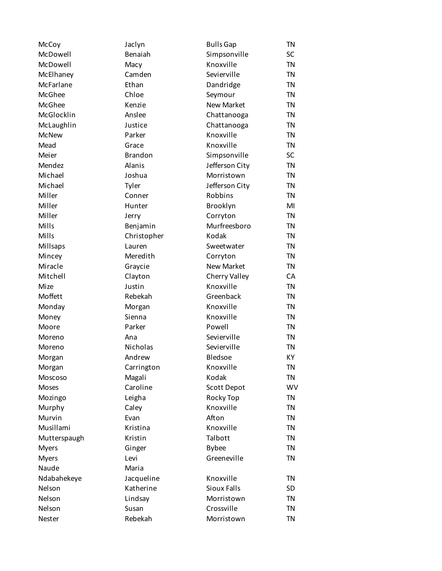| McCoy        | Jaclyn         | <b>Bulls Gap</b>   | <b>TN</b> |
|--------------|----------------|--------------------|-----------|
| McDowell     | Benaiah        | Simpsonville       | SC        |
| McDowell     | Macy           | Knoxville          | <b>TN</b> |
| McElhaney    | Camden         | Sevierville        | <b>TN</b> |
| McFarlane    | Ethan          | Dandridge          | <b>TN</b> |
| McGhee       | Chloe          | Seymour            | <b>TN</b> |
| McGhee       | Kenzie         | <b>New Market</b>  | <b>TN</b> |
| McGlocklin   | Anslee         | Chattanooga        | <b>TN</b> |
| McLaughlin   | Justice        | Chattanooga        | <b>TN</b> |
| <b>McNew</b> | Parker         | Knoxville          | <b>TN</b> |
| Mead         | Grace          | Knoxville          | <b>TN</b> |
| Meier        | <b>Brandon</b> | Simpsonville       | <b>SC</b> |
| Mendez       | Alanis         | Jefferson City     | <b>TN</b> |
| Michael      | Joshua         | Morristown         | <b>TN</b> |
| Michael      | Tyler          | Jefferson City     | <b>TN</b> |
| Miller       | Conner         | Robbins            | <b>TN</b> |
| Miller       | Hunter         | Brooklyn           | MI        |
| Miller       | Jerry          | Corryton           | <b>TN</b> |
| Mills        | Benjamin       | Murfreesboro       | <b>TN</b> |
| Mills        | Christopher    | Kodak              | <b>TN</b> |
| Millsaps     | Lauren         | Sweetwater         | <b>TN</b> |
| Mincey       | Meredith       | Corryton           | <b>TN</b> |
| Miracle      | Graycie        | <b>New Market</b>  | <b>TN</b> |
| Mitchell     | Clayton        | Cherry Valley      | CA        |
| Mize         | Justin         | Knoxville          | <b>TN</b> |
| Moffett      | Rebekah        | Greenback          | <b>TN</b> |
| Monday       | Morgan         | Knoxville          | <b>TN</b> |
| Money        | Sienna         | Knoxville          | <b>TN</b> |
| Moore        | Parker         | Powell             | <b>TN</b> |
| Moreno       | Ana            | Sevierville        | <b>TN</b> |
| Moreno       | Nicholas       | Sevierville        | <b>TN</b> |
| Morgan       | Andrew         | Bledsoe            | KY        |
| Morgan       | Carrington     | Knoxville          | ΤN        |
| Moscoso      | Magali         | Kodak              | <b>TN</b> |
| Moses        | Caroline       | Scott Depot        | <b>WV</b> |
| Mozingo      | Leigha         | Rocky Top          | <b>TN</b> |
| Murphy       | Caley          | Knoxville          | <b>TN</b> |
| Murvin       | Evan           | Afton              | <b>TN</b> |
| Musillami    | Kristina       | Knoxville          | <b>TN</b> |
| Mutterspaugh | Kristin        | Talbott            | <b>TN</b> |
| <b>Myers</b> | Ginger         | <b>Bybee</b>       | <b>TN</b> |
| <b>Myers</b> | Levi           | Greeneville        | <b>TN</b> |
| Naude        | Maria          |                    |           |
| Ndabahekeye  | Jacqueline     | Knoxville          | <b>TN</b> |
| Nelson       | Katherine      | <b>Sioux Falls</b> | <b>SD</b> |
| Nelson       | Lindsay        | Morristown         | <b>TN</b> |
| Nelson       | Susan          | Crossville         | <b>TN</b> |
| Nester       | Rebekah        | Morristown         | <b>TN</b> |
|              |                |                    |           |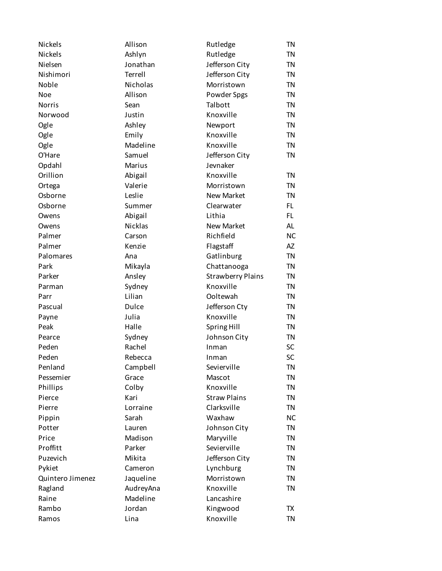| Nickels          | Allison   | Rutledge                 | <b>TN</b> |
|------------------|-----------|--------------------------|-----------|
| <b>Nickels</b>   | Ashlyn    | Rutledge                 | <b>TN</b> |
| Nielsen          | Jonathan  | Jefferson City           | <b>TN</b> |
| Nishimori        | Terrell   | Jefferson City           | <b>TN</b> |
| Noble            | Nicholas  | Morristown               | <b>TN</b> |
| <b>Noe</b>       | Allison   | Powder Spgs              | <b>TN</b> |
| <b>Norris</b>    | Sean      | Talbott                  | <b>TN</b> |
| Norwood          | Justin    | Knoxville                | <b>TN</b> |
| Ogle             | Ashley    | Newport                  | <b>TN</b> |
| Ogle             | Emily     | Knoxville                | <b>TN</b> |
| Ogle             | Madeline  | Knoxville                | <b>TN</b> |
| O'Hare           | Samuel    | Jefferson City           | <b>TN</b> |
| Opdahl           | Marius    | Jevnaker                 |           |
| Orillion         | Abigail   | Knoxville                | <b>TN</b> |
| Ortega           | Valerie   | Morristown               | <b>TN</b> |
| Osborne          | Leslie    | <b>New Market</b>        | <b>TN</b> |
| Osborne          | Summer    | Clearwater               | FL        |
| Owens            | Abigail   | Lithia                   | FL        |
| Owens            | Nicklas   | <b>New Market</b>        | AL        |
| Palmer           | Carson    | Richfield                | <b>NC</b> |
| Palmer           | Kenzie    | Flagstaff                | AZ        |
| Palomares        | Ana       | Gatlinburg               | <b>TN</b> |
| Park             | Mikayla   | Chattanooga              | <b>TN</b> |
| Parker           | Ansley    | <b>Strawberry Plains</b> | <b>TN</b> |
| Parman           | Sydney    | Knoxville                | <b>TN</b> |
| Parr             | Lilian    | Ooltewah                 | <b>TN</b> |
| Pascual          | Dulce     | Jefferson Cty            | <b>TN</b> |
| Payne            | Julia     | Knoxville                | <b>TN</b> |
| Peak             | Halle     | Spring Hill              | <b>TN</b> |
| Pearce           | Sydney    | Johnson City             | <b>TN</b> |
| Peden            | Rachel    | Inman                    | SC        |
| Peden            | Rebecca   | Inman                    | SC        |
| Penland          | Campbell  | Sevierville              | <b>TN</b> |
| Pessemier        | Grace     | Mascot                   | <b>TN</b> |
| Phillips         | Colby     | Knoxville                | <b>TN</b> |
| Pierce           | Kari      | <b>Straw Plains</b>      | <b>TN</b> |
| Pierre           | Lorraine  | Clarksville              | <b>TN</b> |
| Pippin           | Sarah     | Waxhaw                   | <b>NC</b> |
| Potter           | Lauren    | Johnson City             | <b>TN</b> |
| Price            | Madison   | Maryville                | <b>TN</b> |
| Proffitt         | Parker    | Sevierville              | <b>TN</b> |
| Puzevich         | Mikita    | Jefferson City           | <b>TN</b> |
| Pykiet           | Cameron   | Lynchburg                | <b>TN</b> |
| Quintero Jimenez | Jaqueline | Morristown               | <b>TN</b> |
| Ragland          | AudreyAna | Knoxville                | <b>TN</b> |
| Raine            | Madeline  | Lancashire               |           |
| Rambo            | Jordan    | Kingwood                 | TX        |
| Ramos            | Lina      | Knoxville                | <b>TN</b> |
|                  |           |                          |           |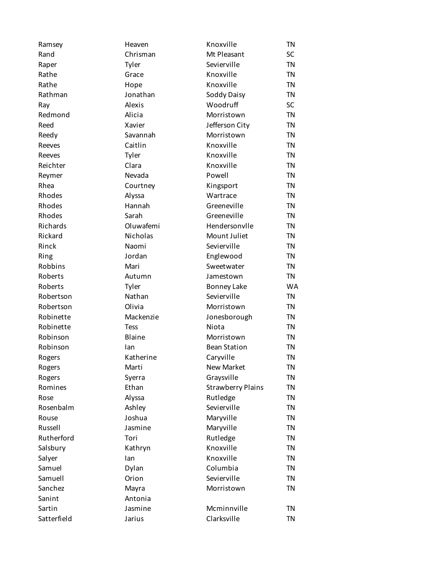| Ramsey      | Heaven      | Knoxville                | <b>TN</b> |
|-------------|-------------|--------------------------|-----------|
| Rand        | Chrisman    | Mt Pleasant              | SC        |
| Raper       | Tyler       | Sevierville              | <b>TN</b> |
| Rathe       | Grace       | Knoxville                | <b>TN</b> |
| Rathe       | Hope        | Knoxville                | <b>TN</b> |
| Rathman     | Jonathan    | Soddy Daisy              | <b>TN</b> |
| Ray         | Alexis      | Woodruff                 | <b>SC</b> |
| Redmond     | Alicia      | Morristown               | <b>TN</b> |
| Reed        | Xavier      | Jefferson City           | <b>TN</b> |
| Reedy       | Savannah    | Morristown               | <b>TN</b> |
| Reeves      | Caitlin     | Knoxville                | <b>TN</b> |
| Reeves      | Tyler       | Knoxville                | <b>TN</b> |
| Reichter    | Clara       | Knoxville                | <b>TN</b> |
| Reymer      | Nevada      | Powell                   | <b>TN</b> |
| Rhea        | Courtney    | Kingsport                | <b>TN</b> |
| Rhodes      | Alyssa      | Wartrace                 | <b>TN</b> |
| Rhodes      | Hannah      | Greeneville              | <b>TN</b> |
| Rhodes      | Sarah       | Greeneville              | <b>TN</b> |
| Richards    | Oluwafemi   | Hendersonvlle            | <b>TN</b> |
| Rickard     | Nicholas    | Mount Juliet             | <b>TN</b> |
| Rinck       | Naomi       | Sevierville              | <b>TN</b> |
| Ring        | Jordan      | Englewood                | <b>TN</b> |
| Robbins     | Mari        | Sweetwater               | <b>TN</b> |
| Roberts     | Autumn      | Jamestown                | <b>TN</b> |
| Roberts     | Tyler       | Bonney Lake              | <b>WA</b> |
| Robertson   | Nathan      | Sevierville              | <b>TN</b> |
| Robertson   | Olivia      | Morristown               | <b>TN</b> |
| Robinette   | Mackenzie   | Jonesborough             | <b>TN</b> |
| Robinette   | <b>Tess</b> | Niota                    | <b>TN</b> |
| Robinson    | Blaine      | Morristown               | <b>TN</b> |
| Robinson    | lan         | <b>Bean Station</b>      | <b>TN</b> |
| Rogers      | Katherine   | Caryville                | <b>TN</b> |
| Rogers      | Marti       | <b>New Market</b>        | TN        |
| Rogers      | Syerra      | Graysville               | <b>TN</b> |
| Romines     | Ethan       | <b>Strawberry Plains</b> | <b>TN</b> |
| Rose        | Alyssa      | Rutledge                 | <b>TN</b> |
| Rosenbalm   | Ashley      | Sevierville              | <b>TN</b> |
| Rouse       | Joshua      | Maryville                | <b>TN</b> |
| Russell     | Jasmine     | Maryville                | <b>TN</b> |
| Rutherford  | Tori        | Rutledge                 | <b>TN</b> |
| Salsbury    | Kathryn     | Knoxville                | <b>TN</b> |
| Salyer      | lan         | Knoxville                | <b>TN</b> |
| Samuel      | Dylan       | Columbia                 | <b>TN</b> |
| Samuell     | Orion       | Sevierville              | <b>TN</b> |
| Sanchez     | Mayra       | Morristown               | <b>TN</b> |
| Sanint      | Antonia     |                          |           |
| Sartin      | Jasmine     | Mcminnville              | <b>TN</b> |
| Satterfield | Jarius      | Clarksville              | <b>TN</b> |
|             |             |                          |           |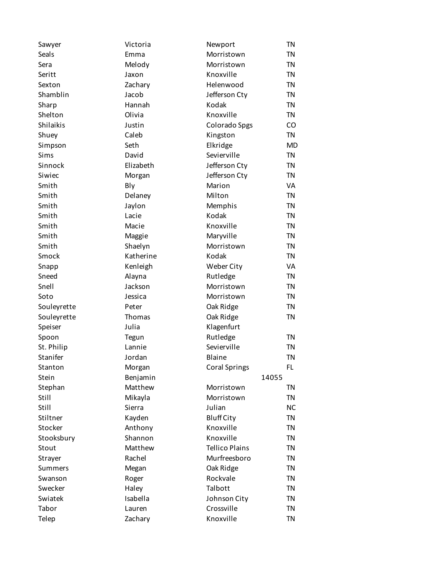| Sawyer      | Victoria  | Newport               | <b>TN</b> |
|-------------|-----------|-----------------------|-----------|
| Seals       | Emma      | Morristown            | <b>TN</b> |
| Sera        | Melody    | Morristown            | <b>TN</b> |
| Seritt      | Jaxon     | Knoxville             | <b>TN</b> |
| Sexton      | Zachary   | Helenwood             | <b>TN</b> |
| Shamblin    | Jacob     | Jefferson Cty         | <b>TN</b> |
| Sharp       | Hannah    | Kodak                 | <b>TN</b> |
| Shelton     | Olivia    | Knoxville             | <b>TN</b> |
| Shilaikis   | Justin    | Colorado Spgs         | CO        |
| Shuey       | Caleb     | Kingston              | <b>TN</b> |
| Simpson     | Seth      | Elkridge              | <b>MD</b> |
| Sims        | David     | Sevierville           | <b>TN</b> |
| Sinnock     | Elizabeth | Jefferson Cty         | <b>TN</b> |
| Siwiec      | Morgan    | Jefferson Cty         | <b>TN</b> |
| Smith       | Bly       | Marion                | VA        |
| Smith       | Delaney   | Milton                | <b>TN</b> |
| Smith       | Jaylon    | Memphis               | <b>TN</b> |
| Smith       | Lacie     | Kodak                 | <b>TN</b> |
| Smith       | Macie     | Knoxville             | <b>TN</b> |
| Smith       | Maggie    | Maryville             | <b>TN</b> |
| Smith       | Shaelyn   | Morristown            | <b>TN</b> |
| Smock       | Katherine | Kodak                 | <b>TN</b> |
| Snapp       | Kenleigh  | Weber City            | VA        |
| Sneed       | Alayna    | Rutledge              | <b>TN</b> |
| Snell       | Jackson   | Morristown            | <b>TN</b> |
| Soto        | Jessica   | Morristown            | <b>TN</b> |
| Souleyrette | Peter     | Oak Ridge             | <b>TN</b> |
| Souleyrette | Thomas    | Oak Ridge             | <b>TN</b> |
| Speiser     | Julia     | Klagenfurt            |           |
| Spoon       | Tegun     | Rutledge              | <b>TN</b> |
| St. Philip  | Lannie    | Sevierville           | <b>TN</b> |
| Stanifer    | Jordan    | Blaine                | <b>TN</b> |
| Stanton     | Morgan    | <b>Coral Springs</b>  | FL        |
| Stein       | Benjamin  | 14055                 |           |
| Stephan     | Matthew   | Morristown            | <b>TN</b> |
| Still       | Mikayla   | Morristown            | <b>TN</b> |
| Still       | Sierra    | Julian                | <b>NC</b> |
| Stiltner    | Kayden    | <b>Bluff City</b>     | <b>TN</b> |
| Stocker     | Anthony   | Knoxville             | <b>TN</b> |
| Stooksbury  | Shannon   | Knoxville             | <b>TN</b> |
| Stout       | Matthew   | <b>Tellico Plains</b> | <b>TN</b> |
| Strayer     | Rachel    | Murfreesboro          | <b>TN</b> |
| Summers     | Megan     | Oak Ridge             | <b>TN</b> |
| Swanson     | Roger     | Rockvale              | <b>TN</b> |
| Swecker     | Haley     | Talbott               | <b>TN</b> |
| Swiatek     | Isabella  | Johnson City          | <b>TN</b> |
| Tabor       | Lauren    | Crossville            | <b>TN</b> |
| Telep       | Zachary   | Knoxville             | <b>TN</b> |
|             |           |                       |           |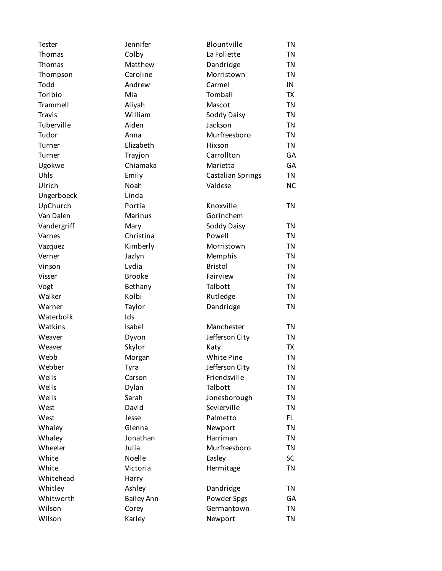| Tester        | Jennifer          | Blountville              | TN        |
|---------------|-------------------|--------------------------|-----------|
| Thomas        | Colby             | La Follette              | TN        |
| Thomas        | Matthew           | Dandridge                | <b>TN</b> |
| Thompson      | Caroline          | Morristown               | <b>TN</b> |
| Todd          | Andrew            | Carmel                   | IN        |
| Toribio       | Mia               | Tomball                  | <b>TX</b> |
| Trammell      | Aliyah            | Mascot                   | TN        |
| <b>Travis</b> | William           | Soddy Daisy              | <b>TN</b> |
| Tuberville    | Aiden             | Jackson                  | <b>TN</b> |
| Tudor         | Anna              | Murfreesboro             | <b>TN</b> |
| Turner        | Elizabeth         | Hixson                   | TN        |
| Turner        | Trayjon           | Carrollton               | GA        |
| Ugokwe        | Chiamaka          | Marietta                 | GA        |
| Uhls          | Emily             | <b>Castalian Springs</b> | TN        |
| Ulrich        | Noah              | Valdese                  | <b>NC</b> |
| Ungerboeck    | Linda             |                          |           |
| UpChurch      | Portia            | Knoxville                | <b>TN</b> |
| Van Dalen     | Marinus           | Gorinchem                |           |
| Vandergriff   | Mary              | Soddy Daisy              | <b>TN</b> |
| Varnes        | Christina         | Powell                   | <b>TN</b> |
| Vazquez       | Kimberly          | Morristown               | <b>TN</b> |
| Verner        | Jazlyn            | Memphis                  | <b>TN</b> |
| Vinson        | Lydia             | <b>Bristol</b>           | <b>TN</b> |
| Visser        | <b>Brooke</b>     | Fairview                 | <b>TN</b> |
| Vogt          | Bethany           | Talbott                  | <b>TN</b> |
| Walker        | Kolbi             | Rutledge                 | TN        |
| Warner        | Taylor            | Dandridge                | <b>TN</b> |
| Waterbolk     | Ids               |                          |           |
| Watkins       | Isabel            | Manchester               | <b>TN</b> |
| Weaver        | Dyvon             | Jefferson City           | <b>TN</b> |
| Weaver        | Skylor            | Katy                     | TX        |
| Webb          | Morgan            | White Pine               | <b>TN</b> |
| Webber        | Tyra              | Jefferson City           | TN        |
| Wells         | Carson            | Friendsville             | TN        |
| Wells         | Dylan             | Talbott                  | TN        |
| Wells         | Sarah             | Jonesborough             | <b>TN</b> |
| West          | David             | Sevierville              | <b>TN</b> |
| West          | Jesse             | Palmetto                 | FL.       |
| Whaley        | Glenna            | Newport                  | <b>TN</b> |
| Whaley        | Jonathan          | Harriman                 | <b>TN</b> |
| Wheeler       | Julia             | Murfreesboro             | <b>TN</b> |
| White         | Noelle            | Easley                   | SC        |
| White         | Victoria          | Hermitage                | TN        |
| Whitehead     | Harry             |                          |           |
| Whitley       | Ashley            | Dandridge                | <b>TN</b> |
| Whitworth     | <b>Bailey Ann</b> | Powder Spgs              | GА        |
| Wilson        | Corey             | Germantown               | TN        |
| Wilson        | Karley            | Newport                  | <b>TN</b> |